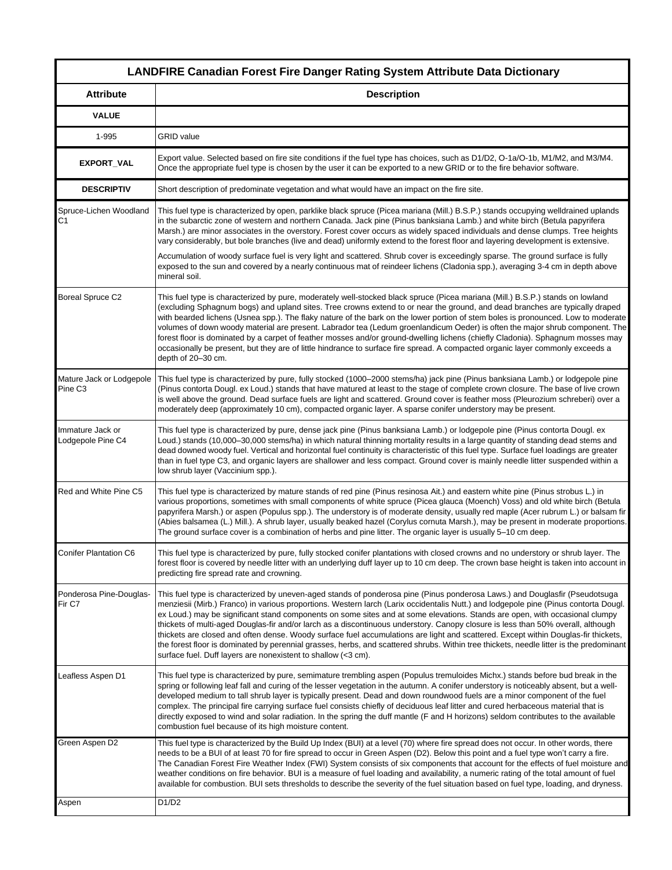|                                                 | <b>LANDFIRE Canadian Forest Fire Danger Rating System Attribute Data Dictionary</b>                                                                                                                                                                                                                                                                                                                                                                                                                                                                                                                                                                                                                                                                                                                                                                                                      |
|-------------------------------------------------|------------------------------------------------------------------------------------------------------------------------------------------------------------------------------------------------------------------------------------------------------------------------------------------------------------------------------------------------------------------------------------------------------------------------------------------------------------------------------------------------------------------------------------------------------------------------------------------------------------------------------------------------------------------------------------------------------------------------------------------------------------------------------------------------------------------------------------------------------------------------------------------|
| <b>Attribute</b>                                | <b>Description</b>                                                                                                                                                                                                                                                                                                                                                                                                                                                                                                                                                                                                                                                                                                                                                                                                                                                                       |
| <b>VALUE</b>                                    |                                                                                                                                                                                                                                                                                                                                                                                                                                                                                                                                                                                                                                                                                                                                                                                                                                                                                          |
| 1-995                                           | <b>GRID</b> value                                                                                                                                                                                                                                                                                                                                                                                                                                                                                                                                                                                                                                                                                                                                                                                                                                                                        |
| EXPORT_VAL                                      | Export value. Selected based on fire site conditions if the fuel type has choices, such as D1/D2, O-1a/O-1b, M1/M2, and M3/M4.<br>Once the appropriate fuel type is chosen by the user it can be exported to a new GRID or to the fire behavior software.                                                                                                                                                                                                                                                                                                                                                                                                                                                                                                                                                                                                                                |
| <b>DESCRIPTIV</b>                               | Short description of predominate vegetation and what would have an impact on the fire site.                                                                                                                                                                                                                                                                                                                                                                                                                                                                                                                                                                                                                                                                                                                                                                                              |
| Spruce-Lichen Woodland<br>C <sub>1</sub>        | This fuel type is characterized by open, parklike black spruce (Picea mariana (Mill.) B.S.P.) stands occupying welldrained uplands<br>in the subarctic zone of western and northern Canada. Jack pine (Pinus banksiana Lamb.) and white birch (Betula papyrifera<br>Marsh.) are minor associates in the overstory. Forest cover occurs as widely spaced individuals and dense clumps. Tree heights<br>vary considerably, but bole branches (live and dead) uniformly extend to the forest floor and layering development is extensive.<br>Accumulation of woody surface fuel is very light and scattered. Shrub cover is exceedingly sparse. The ground surface is fully                                                                                                                                                                                                                 |
|                                                 | exposed to the sun and covered by a nearly continuous mat of reindeer lichens (Cladonia spp.), averaging 3-4 cm in depth above<br>mineral soil.                                                                                                                                                                                                                                                                                                                                                                                                                                                                                                                                                                                                                                                                                                                                          |
| <b>Boreal Spruce C2</b>                         | This fuel type is characterized by pure, moderately well-stocked black spruce (Picea mariana (Mill.) B.S.P.) stands on lowland<br>(excluding Sphagnum bogs) and upland sites. Tree crowns extend to or near the ground, and dead branches are typically draped<br>with bearded lichens (Usnea spp.). The flaky nature of the bark on the lower portion of stem boles is pronounced. Low to moderate<br>volumes of down woody material are present. Labrador tea (Ledum groenlandicum Oeder) is often the major shrub component. The<br>forest floor is dominated by a carpet of feather mosses and/or ground-dwelling lichens (chiefly Cladonia). Sphagnum mosses may<br>occasionally be present, but they are of little hindrance to surface fire spread. A compacted organic layer commonly exceeds a<br>depth of 20-30 cm.                                                            |
| Mature Jack or Lodgepole<br>Pine C <sub>3</sub> | This fuel type is characterized by pure, fully stocked (1000-2000 stems/ha) jack pine (Pinus banksiana Lamb.) or lodgepole pine<br>(Pinus contorta Dougl. ex Loud.) stands that have matured at least to the stage of complete crown closure. The base of live crown<br>is well above the ground. Dead surface fuels are light and scattered. Ground cover is feather moss (Pleurozium schreberi) over a<br>moderately deep (approximately 10 cm), compacted organic layer. A sparse conifer understory may be present.                                                                                                                                                                                                                                                                                                                                                                  |
| Immature Jack or<br>Lodgepole Pine C4           | This fuel type is characterized by pure, dense jack pine (Pinus banksiana Lamb.) or lodgepole pine (Pinus contorta Dougl. ex<br>Loud.) stands (10,000–30,000 stems/ha) in which natural thinning mortality results in a large quantity of standing dead stems and<br>dead downed woody fuel. Vertical and horizontal fuel continuity is characteristic of this fuel type. Surface fuel loadings are greater<br>than in fuel type C3, and organic layers are shallower and less compact. Ground cover is mainly needle litter suspended within a<br>low shrub layer (Vaccinium spp.).                                                                                                                                                                                                                                                                                                     |
| Red and White Pine C5                           | This fuel type is characterized by mature stands of red pine (Pinus resinosa Ait.) and eastern white pine (Pinus strobus L.) in<br>various proportions, sometimes with small components of white spruce (Picea glauca (Moench) Voss) and old white birch (Betula<br>papyrifera Marsh.) or aspen (Populus spp.). The understory is of moderate density, usually red maple (Acer rubrum L.) or balsam fir<br>(Abies balsamea (L.) Mill.). A shrub layer, usually beaked hazel (Corylus cornuta Marsh.), may be present in moderate proportions.<br>The ground surface cover is a combination of herbs and pine litter. The organic layer is usually 5-10 cm deep.                                                                                                                                                                                                                          |
| <b>Conifer Plantation C6</b>                    | This fuel type is characterized by pure, fully stocked conifer plantations with closed crowns and no understory or shrub layer. The<br>forest floor is covered by needle litter with an underlying duff layer up to 10 cm deep. The crown base height is taken into account in<br>predicting fire spread rate and crowning.                                                                                                                                                                                                                                                                                                                                                                                                                                                                                                                                                              |
| Ponderosa Pine-Douglas-<br>Fir <sub>C7</sub>    | This fuel type is characterized by uneven-aged stands of ponderosa pine (Pinus ponderosa Laws.) and Douglasfir (Pseudotsuga<br>menziesii (Mirb.) Franco) in various proportions. Western larch (Larix occidentalis Nutt.) and lodgepole pine (Pinus contorta Dougl.<br>ex Loud.) may be significant stand components on some sites and at some elevations. Stands are open, with occasional clumpy<br>thickets of multi-aged Douglas-fir and/or larch as a discontinuous understory. Canopy closure is less than 50% overall, although<br>thickets are closed and often dense. Woody surface fuel accumulations are light and scattered. Except within Douglas-fir thickets,<br>the forest floor is dominated by perennial grasses, herbs, and scattered shrubs. Within tree thickets, needle litter is the predominant<br>surface fuel. Duff layers are nonexistent to shallow (<3 cm). |
| Leafless Aspen D1                               | This fuel type is characterized by pure, semimature trembling aspen (Populus tremuloides Michx.) stands before bud break in the<br>spring or following leaf fall and curing of the lesser vegetation in the autumn. A conifer understory is noticeably absent, but a well-<br>developed medium to tall shrub layer is typically present. Dead and down roundwood fuels are a minor component of the fuel<br>complex. The principal fire carrying surface fuel consists chiefly of deciduous leaf litter and cured herbaceous material that is<br>directly exposed to wind and solar radiation. In the spring the duff mantle (F and H horizons) seldom contributes to the available<br>combustion fuel because of its high moisture content.                                                                                                                                             |
| Green Aspen D2                                  | This fuel type is characterized by the Build Up Index (BUI) at a level (70) where fire spread does not occur. In other words, there<br>needs to be a BUI of at least 70 for fire spread to occur in Green Aspen (D2). Below this point and a fuel type won't carry a fire.<br>The Canadian Forest Fire Weather Index (FWI) System consists of six components that account for the effects of fuel moisture and<br>weather conditions on fire behavior. BUI is a measure of fuel loading and availability, a numeric rating of the total amount of fuel<br>available for combustion. BUI sets thresholds to describe the severity of the fuel situation based on fuel type, loading, and dryness.                                                                                                                                                                                         |
| Aspen                                           | D1/D2                                                                                                                                                                                                                                                                                                                                                                                                                                                                                                                                                                                                                                                                                                                                                                                                                                                                                    |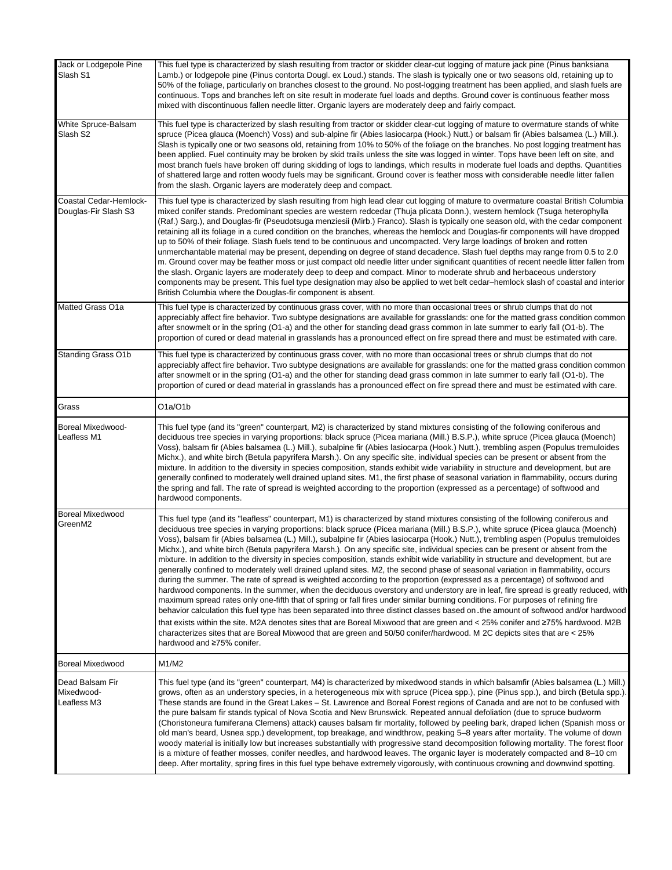| Jack or Lodgepole Pine<br>Slash S1             | This fuel type is characterized by slash resulting from tractor or skidder clear-cut logging of mature jack pine (Pinus banksiana<br>Lamb.) or lodgepole pine (Pinus contorta Dougl. ex Loud.) stands. The slash is typically one or two seasons old, retaining up to<br>50% of the foliage, particularly on branches closest to the ground. No post-logging treatment has been applied, and slash fuels are<br>continuous. Tops and branches left on site result in moderate fuel loads and depths. Ground cover is continuous feather moss<br>mixed with discontinuous fallen needle litter. Organic layers are moderately deep and fairly compact.                                                                                                                                                                                                                                                                                                                                                                                                                                                                                                                                                                                                                                                                                                                                                                                                                                                                                                                                                                                                           |
|------------------------------------------------|-----------------------------------------------------------------------------------------------------------------------------------------------------------------------------------------------------------------------------------------------------------------------------------------------------------------------------------------------------------------------------------------------------------------------------------------------------------------------------------------------------------------------------------------------------------------------------------------------------------------------------------------------------------------------------------------------------------------------------------------------------------------------------------------------------------------------------------------------------------------------------------------------------------------------------------------------------------------------------------------------------------------------------------------------------------------------------------------------------------------------------------------------------------------------------------------------------------------------------------------------------------------------------------------------------------------------------------------------------------------------------------------------------------------------------------------------------------------------------------------------------------------------------------------------------------------------------------------------------------------------------------------------------------------|
| White Spruce-Balsam<br>Slash S2                | This fuel type is characterized by slash resulting from tractor or skidder clear-cut logging of mature to overmature stands of white<br>spruce (Picea glauca (Moench) Voss) and sub-alpine fir (Abies lasiocarpa (Hook.) Nutt.) or balsam fir (Abies balsamea (L.) Mill.).<br>Slash is typically one or two seasons old, retaining from 10% to 50% of the foliage on the branches. No post logging treatment has<br>been applied. Fuel continuity may be broken by skid trails unless the site was logged in winter. Tops have been left on site, and<br>most branch fuels have broken off during skidding of logs to landings, which results in moderate fuel loads and depths. Quantities<br>of shattered large and rotten woody fuels may be significant. Ground cover is feather moss with considerable needle litter fallen<br>from the slash. Organic layers are moderately deep and compact.                                                                                                                                                                                                                                                                                                                                                                                                                                                                                                                                                                                                                                                                                                                                                             |
| Coastal Cedar-Hemlock-<br>Douglas-Fir Slash S3 | This fuel type is characterized by slash resulting from high lead clear cut logging of mature to overmature coastal British Columbia<br>mixed conifer stands. Predominant species are western redcedar (Thuja plicata Donn.), western hemlock (Tsuga heterophylla<br>(Raf.) Sarg.), and Douglas-fir (Pseudotsuga menziesii (Mirb.) Franco). Slash is typically one season old, with the cedar component<br>retaining all its foliage in a cured condition on the branches, whereas the hemlock and Douglas-fir components will have dropped<br>up to 50% of their foliage. Slash fuels tend to be continuous and uncompacted. Very large loadings of broken and rotten<br>unmerchantable material may be present, depending on degree of stand decadence. Slash fuel depths may range from 0.5 to 2.0<br>m. Ground cover may be feather moss or just compact old needle litter under significant quantities of recent needle litter fallen from<br>the slash. Organic layers are moderately deep to deep and compact. Minor to moderate shrub and herbaceous understory<br>components may be present. This fuel type designation may also be applied to wet belt cedar-hemlock slash of coastal and interior<br>British Columbia where the Douglas-fir component is absent.                                                                                                                                                                                                                                                                                                                                                                                     |
| Matted Grass O1a                               | This fuel type is characterized by continuous grass cover, with no more than occasional trees or shrub clumps that do not<br>appreciably affect fire behavior. Two subtype designations are available for grasslands: one for the matted grass condition common<br>after snowmelt or in the spring (O1-a) and the other for standing dead grass common in late summer to early fall (O1-b). The<br>proportion of cured or dead material in grasslands has a pronounced effect on fire spread there and must be estimated with care.                                                                                                                                                                                                                                                                                                                                                                                                                                                                                                                                                                                                                                                                                                                                                                                                                                                                                                                                                                                                                                                                                                                             |
| <b>Standing Grass O1b</b>                      | This fuel type is characterized by continuous grass cover, with no more than occasional trees or shrub clumps that do not<br>appreciably affect fire behavior. Two subtype designations are available for grasslands: one for the matted grass condition common<br>after snowmelt or in the spring (O1-a) and the other for standing dead grass common in late summer to early fall (O1-b). The<br>proportion of cured or dead material in grasslands has a pronounced effect on fire spread there and must be estimated with care.                                                                                                                                                                                                                                                                                                                                                                                                                                                                                                                                                                                                                                                                                                                                                                                                                                                                                                                                                                                                                                                                                                                             |
| Grass                                          | O <sub>1</sub> a/O <sub>1</sub> b                                                                                                                                                                                                                                                                                                                                                                                                                                                                                                                                                                                                                                                                                                                                                                                                                                                                                                                                                                                                                                                                                                                                                                                                                                                                                                                                                                                                                                                                                                                                                                                                                               |
| <b>Boreal Mixedwood-</b><br>Leafless M1        | This fuel type (and its "green" counterpart, M2) is characterized by stand mixtures consisting of the following coniferous and<br>deciduous tree species in varying proportions: black spruce (Picea mariana (Mill.) B.S.P.), white spruce (Picea glauca (Moench)<br>Voss), balsam fir (Abies balsamea (L.) Mill.), subalpine fir (Abies lasiocarpa (Hook.) Nutt.), trembling aspen (Populus tremuloides<br>Michx.), and white birch (Betula papyrifera Marsh.). On any specific site, individual species can be present or absent from the<br>mixture. In addition to the diversity in species composition, stands exhibit wide variability in structure and development, but are<br>generally confined to moderately well drained upland sites. M1, the first phase of seasonal variation in flammability, occurs during<br>the spring and fall. The rate of spread is weighted according to the proportion (expressed as a percentage) of softwood and<br>hardwood components.                                                                                                                                                                                                                                                                                                                                                                                                                                                                                                                                                                                                                                                                               |
| <b>Boreal Mixedwood</b><br>GreenM2             | This fuel type (and its "leafless" counterpart, M1) is characterized by stand mixtures consisting of the following coniferous and<br>deciduous tree species in varying proportions: black spruce (Picea mariana (Mill.) B.S.P.), white spruce (Picea glauca (Moench)<br>Voss), balsam fir (Abies balsamea (L.) Mill.), subalpine fir (Abies lasiocarpa (Hook.) Nutt.), trembling aspen (Populus tremuloides<br>Michx.), and white birch (Betula papyrifera Marsh.). On any specific site, individual species can be present or absent from the<br>mixture. In addition to the diversity in species composition, stands exhibit wide variability in structure and development, but are<br>generally confined to moderately well drained upland sites. M2, the second phase of seasonal variation in flammability, occurs<br>during the summer. The rate of spread is weighted according to the proportion (expressed as a percentage) of softwood and<br>hardwood components. In the summer, when the deciduous overstory and understory are in leaf, fire spread is greatly reduced, with<br>maximum spread rates only one-fifth that of spring or fall fires under similar burning conditions. For purposes of refining fire<br>behavior calculation this fuel type has been separated into three distinct classes based on the amount of softwood and/or hardwood<br>that exists within the site. M2A denotes sites that are Boreal Mixwood that are green and < 25% conifer and ≥75% hardwood. M2B<br>characterizes sites that are Boreal Mixwood that are green and 50/50 conifer/hardwood. M 2C depicts sites that are < 25%<br>hardwood and ≥75% conifer. |
| <b>Boreal Mixedwood</b>                        | M1/M2                                                                                                                                                                                                                                                                                                                                                                                                                                                                                                                                                                                                                                                                                                                                                                                                                                                                                                                                                                                                                                                                                                                                                                                                                                                                                                                                                                                                                                                                                                                                                                                                                                                           |
| Dead Balsam Fir<br>Mixedwood-<br>Leafless M3   | This fuel type (and its "green" counterpart, M4) is characterized by mixedwood stands in which balsamfir (Abies balsamea (L.) Mill.)<br>grows, often as an understory species, in a heterogeneous mix with spruce (Picea spp.), pine (Pinus spp.), and birch (Betula spp.).<br>These stands are found in the Great Lakes - St. Lawrence and Boreal Forest regions of Canada and are not to be confused with<br>the pure balsam fir stands typical of Nova Scotia and New Brunswick. Repeated annual defoliation (due to spruce budworm<br>(Choristoneura fumiferana Clemens) attack) causes balsam fir mortality, followed by peeling bark, draped lichen (Spanish moss or<br>old man's beard, Usnea spp.) development, top breakage, and windthrow, peaking 5–8 years after mortality. The volume of down<br>woody material is initially low but increases substantially with progressive stand decomposition following mortality. The forest floor<br>is a mixture of feather mosses, conifer needles, and hardwood leaves. The organic layer is moderately compacted and 8-10 cm<br>deep. After mortality, spring fires in this fuel type behave extremely vigorously, with continuous crowning and downwind spotting.                                                                                                                                                                                                                                                                                                                                                                                                                                       |